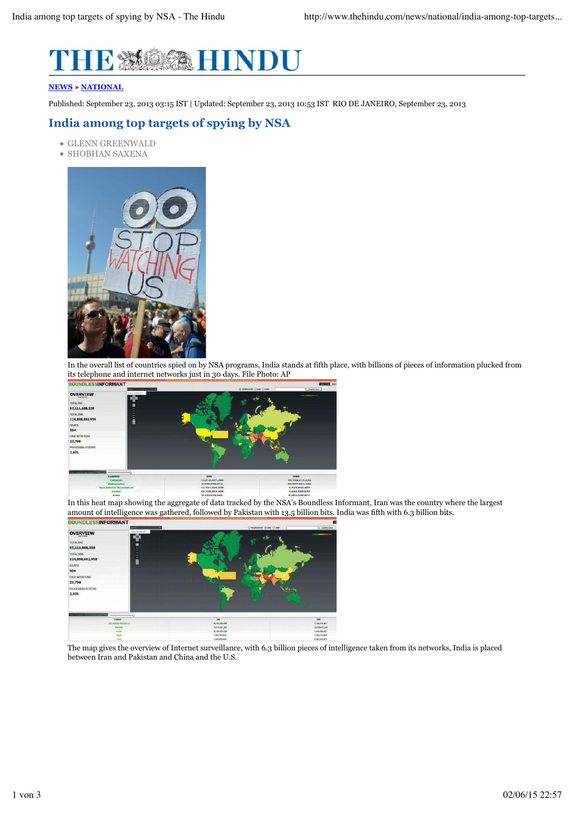

## **NEWS » NATIONAL**

Published: September 23, 2013 03:15 IST | Updated: September 23, 2013 10:53 IST RIO DE JANEIRO, September 23, 2013

## **India among top targets of spying by NSA**

- GLENN GREENWALD
- SHOBHAN SAXENA



In the overall list of countries spied on by NSA programs, India stands at fifth place, with billions of pieces of information plucked from its telephone and internet networks just in 30 days. File Photo: AP



In this heat map showing the aggregate of data tracked by the NSA's Boundless Informant, Iran was the country where the largest amount of intelligence was gathered, followed by Pakistan with 13.5 billion bits. India was fifth with 6.3 billion bits.



The map gives the overview of Internet surveillance, with 6.3 billion pieces of intelligence taken from its networks, India is placed between Iran and Pakistan and China and the U.S.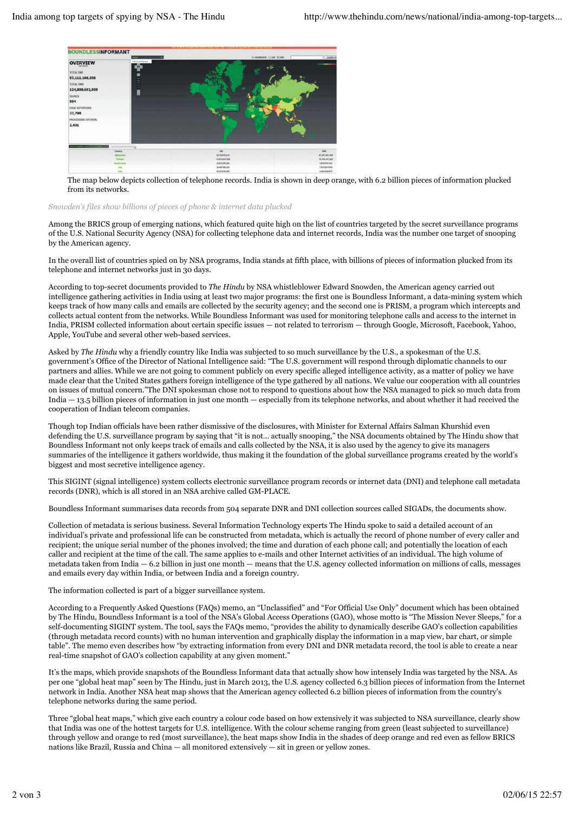

The map below depicts collection of telephone records. India is shown in deep orange, with 6.2 billion pieces of information plucked from its networks.

## *Snowden's files show billions of pieces of phone & internet data plucked*

Among the BRICS group of emerging nations, which featured quite high on the list of countries targeted by the secret surveillance programs of the U.S. National Security Agency (NSA) for collecting telephone data and internet records, India was the number one target of snooping by the American agency.

In the overall list of countries spied on by NSA programs, India stands at fifth place, with billions of pieces of information plucked from its telephone and internet networks just in 30 days.

According to top-secret documents provided to *The Hindu* by NSA whistleblower Edward Snowden, the American agency carried out intelligence gathering activities in India using at least two major programs: the first one is Boundless Informant, a data-mining system which keeps track of how many calls and emails are collected by the security agency; and the second one is PRISM, a program which intercepts and collects actual content from the networks. While Boundless Informant was used for monitoring telephone calls and access to the internet in India, PRISM collected information about certain specific issues — not related to terrorism — through Google, Microsoft, Facebook, Yahoo, Apple, YouTube and several other web-based services.

Asked by *The Hindu* why a friendly country like India was subjected to so much surveillance by the U.S., a spokesman of the U.S. government's Office of the Director of National Intelligence said: "The U.S. government will respond through diplomatic channels to our partners and allies. While we are not going to comment publicly on every specific alleged intelligence activity, as a matter of policy we have made clear that the United States gathers foreign intelligence of the type gathered by all nations. We value our cooperation with all countries on issues of mutual concern."The DNI spokesman chose not to respond to questions about how the NSA managed to pick so much data from India — 13.5 billion pieces of information in just one month — especially from its telephone networks, and about whether it had received the cooperation of Indian telecom companies.

Though top Indian officials have been rather dismissive of the disclosures, with Minister for External Affairs Salman Khurshid even defending the U.S. surveillance program by saying that "it is not… actually snooping," the NSA documents obtained by The Hindu show that Boundless Informant not only keeps track of emails and calls collected by the NSA, it is also used by the agency to give its managers summaries of the intelligence it gathers worldwide, thus making it the foundation of the global surveillance programs created by the world's biggest and most secretive intelligence agency.

This SIGINT (signal intelligence) system collects electronic surveillance program records or internet data (DNI) and telephone call metadata records (DNR), which is all stored in an NSA archive called GM-PLACE.

Boundless Informant summarises data records from 504 separate DNR and DNI collection sources called SIGADs, the documents show.

Collection of metadata is serious business. Several Information Technology experts The Hindu spoke to said a detailed account of an individual's private and professional life can be constructed from metadata, which is actually the record of phone number of every caller and recipient; the unique serial number of the phones involved; the time and duration of each phone call; and potentially the location of each caller and recipient at the time of the call. The same applies to e-mails and other Internet activities of an individual. The high volume of metadata taken from India — 6.2 billion in just one month — means that the U.S. agency collected information on millions of calls, messages and emails every day within India, or between India and a foreign country.

The information collected is part of a bigger surveillance system.

According to a Frequently Asked Questions (FAQs) memo, an "Unclassified" and "For Official Use Only" document which has been obtained by The Hindu, Boundless Informant is a tool of the NSA's Global Access Operations (GAO), whose motto is "The Mission Never Sleeps," for a self-documenting SIGINT system. The tool, says the FAQs memo, "provides the ability to dynamically describe GAO's collection capabilities (through metadata record counts) with no human intervention and graphically display the information in a map view, bar chart, or simple table". The memo even describes how "by extracting information from every DNI and DNR metadata record, the tool is able to create a near real-time snapshot of GAO's collection capability at any given moment."

It's the maps, which provide snapshots of the Boundless Informant data that actually show how intensely India was targeted by the NSA. As per one "global heat map" seen by The Hindu, just in March 2013, the U.S. agency collected 6.3 billion pieces of information from the Internet network in India. Another NSA heat map shows that the American agency collected 6.2 billion pieces of information from the country's telephone networks during the same period.

Three "global heat maps," which give each country a colour code based on how extensively it was subjected to NSA surveillance, clearly show that India was one of the hottest targets for U.S. intelligence. With the colour scheme ranging from green (least subjected to surveillance) through yellow and orange to red (most surveillance), the heat maps show India in the shades of deep orange and red even as fellow BRICS nations like Brazil, Russia and China — all monitored extensively — sit in green or yellow zones.